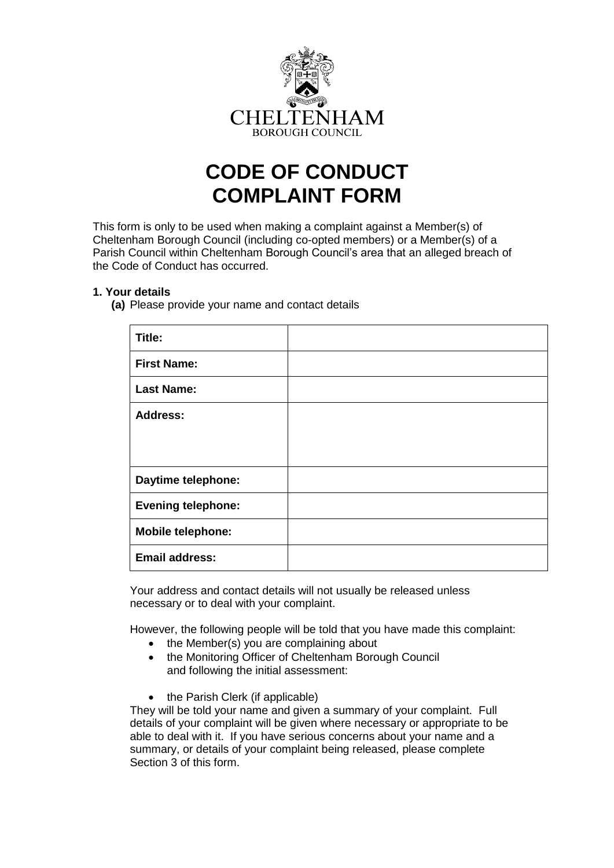

# **CODE OF CONDUCT COMPLAINT FORM**

This form is only to be used when making a complaint against a Member(s) of Cheltenham Borough Council (including co-opted members) or a Member(s) of a Parish Council within Cheltenham Borough Council's area that an alleged breach of the Code of Conduct has occurred.

### **1. Your details**

**(a)** Please provide your name and contact details

| Title:                    |  |
|---------------------------|--|
| <b>First Name:</b>        |  |
| <b>Last Name:</b>         |  |
| <b>Address:</b>           |  |
|                           |  |
|                           |  |
| Daytime telephone:        |  |
| <b>Evening telephone:</b> |  |
| <b>Mobile telephone:</b>  |  |
| <b>Email address:</b>     |  |

Your address and contact details will not usually be released unless necessary or to deal with your complaint.

However, the following people will be told that you have made this complaint:

- the Member(s) you are complaining about
- the Monitoring Officer of Cheltenham Borough Council and following the initial assessment:
- the Parish Clerk (if applicable)

They will be told your name and given a summary of your complaint. Full details of your complaint will be given where necessary or appropriate to be able to deal with it. If you have serious concerns about your name and a summary, or details of your complaint being released, please complete Section 3 of this form.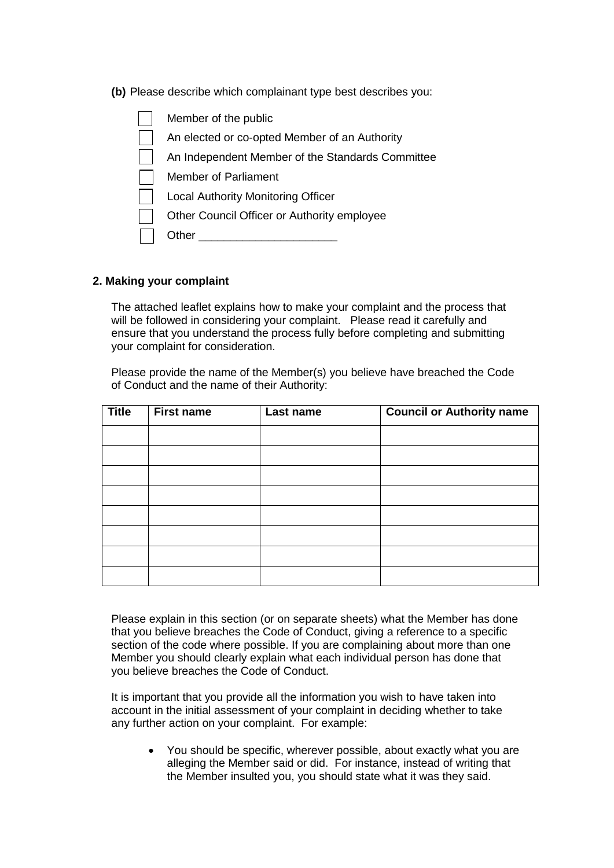**(b)** Please describe which complainant type best describes you:

| Member of the public                             |
|--------------------------------------------------|
| An elected or co-opted Member of an Authority    |
| An Independent Member of the Standards Committee |
| <b>Member of Parliament</b>                      |
| <b>Local Authority Monitoring Officer</b>        |
| Other Council Officer or Authority employee      |
| Other                                            |
|                                                  |

#### **2. Making your complaint**

The attached leaflet explains how to make your complaint and the process that will be followed in considering your complaint. Please read it carefully and ensure that you understand the process fully before completing and submitting your complaint for consideration.

Please provide the name of the Member(s) you believe have breached the Code of Conduct and the name of their Authority:

| <b>Title</b> | <b>First name</b> | Last name | <b>Council or Authority name</b> |
|--------------|-------------------|-----------|----------------------------------|
|              |                   |           |                                  |
|              |                   |           |                                  |
|              |                   |           |                                  |
|              |                   |           |                                  |
|              |                   |           |                                  |
|              |                   |           |                                  |
|              |                   |           |                                  |
|              |                   |           |                                  |

Please explain in this section (or on separate sheets) what the Member has done that you believe breaches the Code of Conduct, giving a reference to a specific section of the code where possible. If you are complaining about more than one Member you should clearly explain what each individual person has done that you believe breaches the Code of Conduct.

It is important that you provide all the information you wish to have taken into account in the initial assessment of your complaint in deciding whether to take any further action on your complaint. For example:

 You should be specific, wherever possible, about exactly what you are alleging the Member said or did. For instance, instead of writing that the Member insulted you, you should state what it was they said.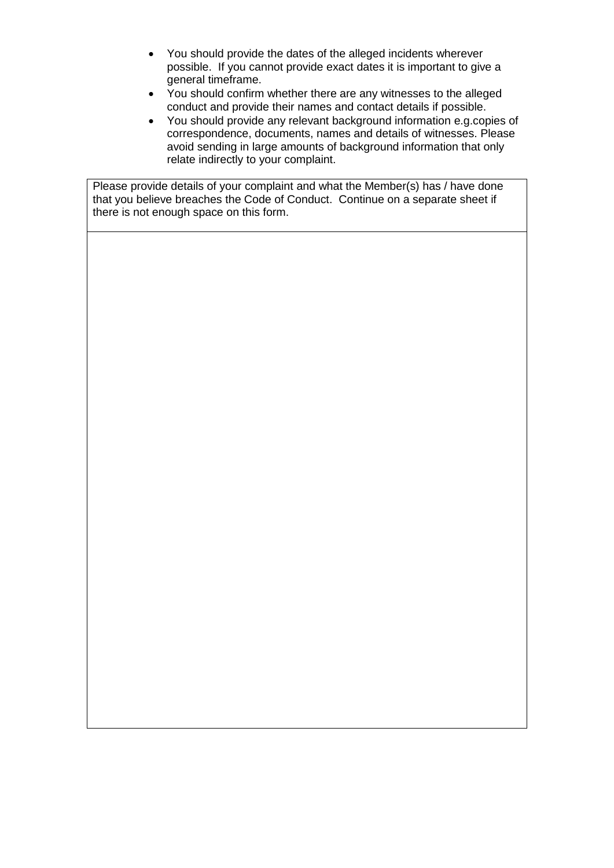- You should provide the dates of the alleged incidents wherever possible. If you cannot provide exact dates it is important to give a general timeframe.
- You should confirm whether there are any witnesses to the alleged conduct and provide their names and contact details if possible.
- You should provide any relevant background information e.g.copies of correspondence, documents, names and details of witnesses. Please avoid sending in large amounts of background information that only relate indirectly to your complaint.

Please provide details of your complaint and what the Member(s) has / have done that you believe breaches the Code of Conduct. Continue on a separate sheet if there is not enough space on this form.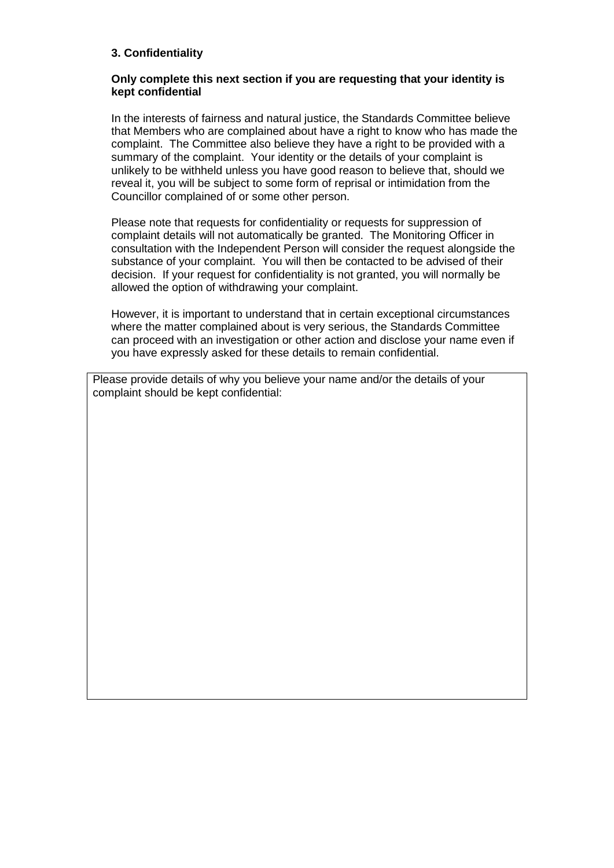## **3. Confidentiality**

#### **Only complete this next section if you are requesting that your identity is kept confidential**

In the interests of fairness and natural justice, the Standards Committee believe that Members who are complained about have a right to know who has made the complaint. The Committee also believe they have a right to be provided with a summary of the complaint. Your identity or the details of your complaint is unlikely to be withheld unless you have good reason to believe that, should we reveal it, you will be subject to some form of reprisal or intimidation from the Councillor complained of or some other person.

Please note that requests for confidentiality or requests for suppression of complaint details will not automatically be granted. The Monitoring Officer in consultation with the Independent Person will consider the request alongside the substance of your complaint. You will then be contacted to be advised of their decision. If your request for confidentiality is not granted, you will normally be allowed the option of withdrawing your complaint.

However, it is important to understand that in certain exceptional circumstances where the matter complained about is very serious, the Standards Committee can proceed with an investigation or other action and disclose your name even if you have expressly asked for these details to remain confidential.

Please provide details of why you believe your name and/or the details of your complaint should be kept confidential: